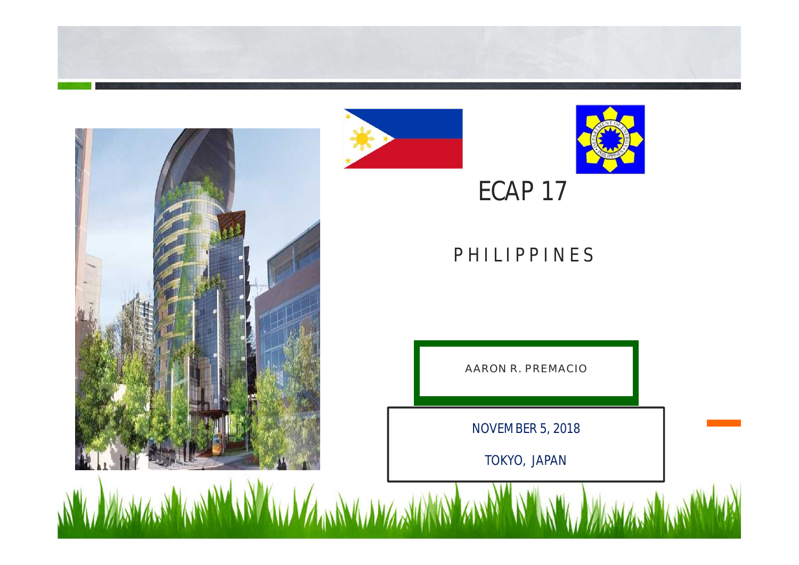





## **ECAP 17**

#### **P H I L I P P I N E S**

AARON R. PREMACIO

**NOVEMBER 5, 2018**

**TOKYO, JAPAN**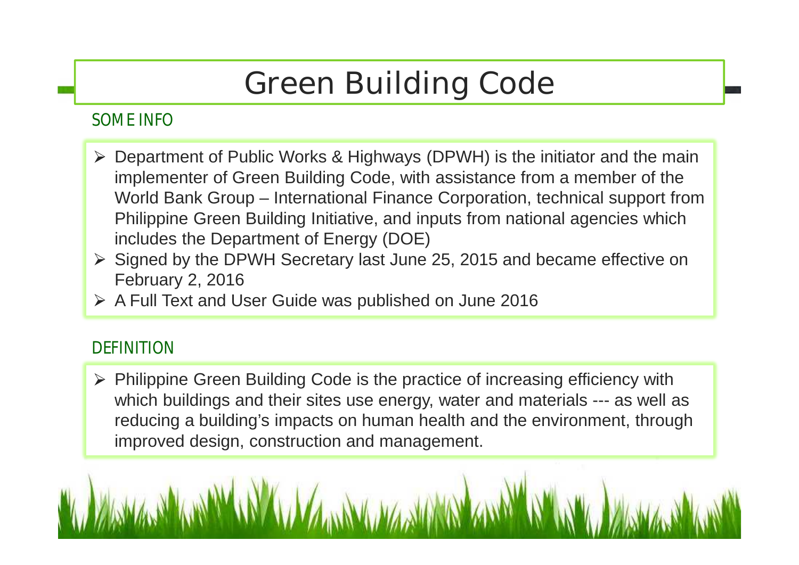# **Green Building Code**

#### **SOME INFO**

- $\triangleright$  Department of Public Works & Highways (DPWH) is the initiator and the main implementer of Green Building Code, with assistance from a member of the World Bank Group – International Finance Corporation, technical support from Philippine Green Building Initiative, and inputs from national agencies which includes the Department of Energy (DOE)
- $\triangleright$  Signed by the DPWH Secretary last June 25, 2015 and became effective on February 2, 2016
- $\triangleright$  A Full Text and User Guide was published on June 2016

#### **DEFINITION**

 $\triangleright$  Philippine Green Building Code is the practice of increasing efficiency with which buildings and their sites use energy, water and materials --- as well as reducing a building's impacts on human health and the environment, through improved design, construction and management.

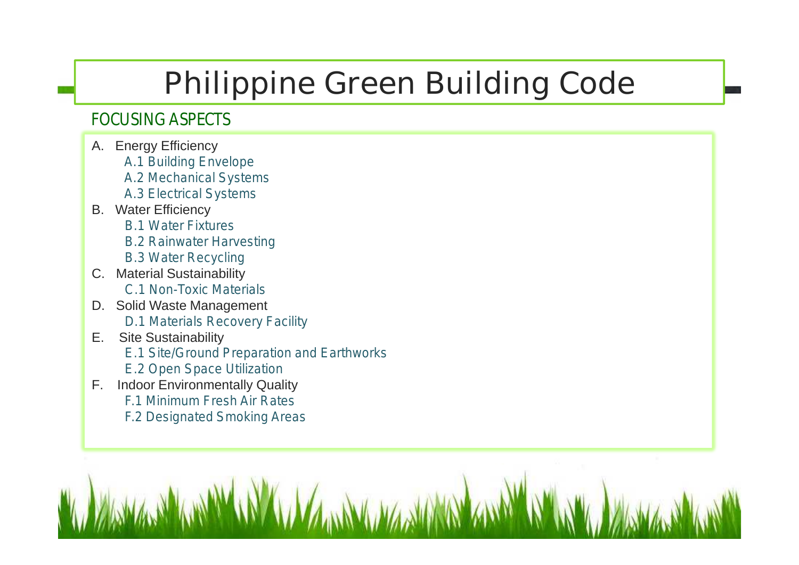# **Philippine Green Building Code**

#### **FOCUSING ASPECTS**

- A. Energy Efficiency
	- *A.1 Building Envelope*
	- *A.2 Mechanical Systems*
	- *A.3 Electrical Systems*
- B. Water Efficiency
	- *B.1 Water Fixtures*
	- *B.2 Rainwater Harvesting*
	- *B.3 Water Recycling*
- C. Material Sustainability *C.1 Non-Toxic Materials*
- D. Solid Waste Management *D.1 Materials Recovery Facility*
- E. Site Sustainability
	- *E.1 Site/Ground Preparation and Earthworks*
	- *E.2 Open Space Utilization*
- F. Indoor Environmentally Quality *F.1 Minimum Fresh Air Rates F.2 Designated Smoking Areas*

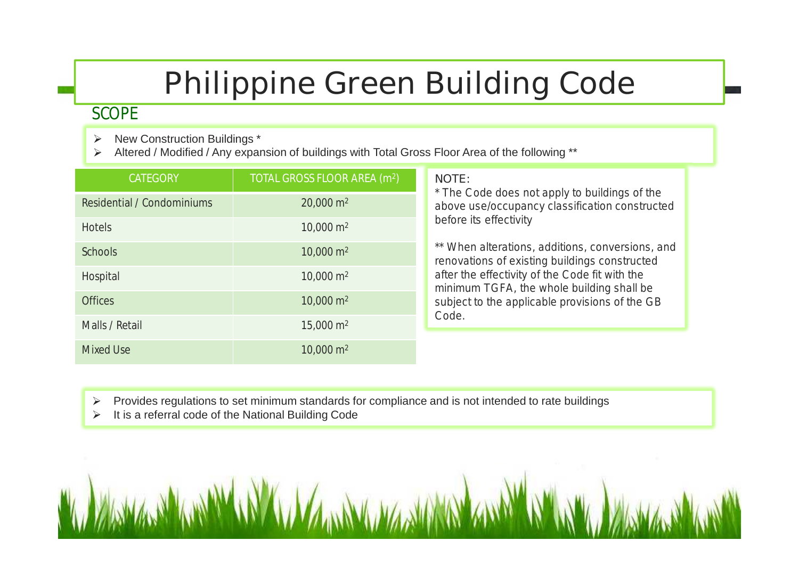# **Philippine Green Building Code**

#### **SCOPE**

- New Construction Buildings \*  $\blacktriangleright$
- Altered / Modified / Any expansion of buildings with Total Gross Floor Area of the following \*\*  $\blacktriangleright$

| <b>CATEGORY</b>            | TOTAL GROSS FLOOR AREA (m <sup>2</sup> ) | <b>NOTE:</b><br>* The Code does not apply to buildings of the<br>above use/occupancy classification constructed<br>before its effectivity<br>** When alterations, additions, conversions, and<br>renovations of existing buildings constructed<br>after the effectivity of the Code fit with the<br>minimum TGFA, the whole building shall be<br>subject to the applicable provisions of the GB<br>Code. |
|----------------------------|------------------------------------------|----------------------------------------------------------------------------------------------------------------------------------------------------------------------------------------------------------------------------------------------------------------------------------------------------------------------------------------------------------------------------------------------------------|
| Residential / Condominiums | $20,000 \text{ m}^2$                     |                                                                                                                                                                                                                                                                                                                                                                                                          |
| <b>Hotels</b>              | $10,000 \text{ m}^2$                     |                                                                                                                                                                                                                                                                                                                                                                                                          |
| <b>Schools</b>             | $10,000 \text{ m}^2$                     |                                                                                                                                                                                                                                                                                                                                                                                                          |
| Hospital                   | $10,000 \text{ m}^2$                     |                                                                                                                                                                                                                                                                                                                                                                                                          |
| <b>Offices</b>             | $10,000 \text{ m}^2$                     |                                                                                                                                                                                                                                                                                                                                                                                                          |
| Malls / Retail             | $15,000 \text{ m}^2$                     |                                                                                                                                                                                                                                                                                                                                                                                                          |
| <b>Mixed Use</b>           | $10,000 \text{ m}^2$                     |                                                                                                                                                                                                                                                                                                                                                                                                          |

- Provides regulations to set minimum standards for compliance and is not intended to rate buildings  $\blacktriangleright$
- It is a referral code of the National Building Code  $\blacktriangleright$

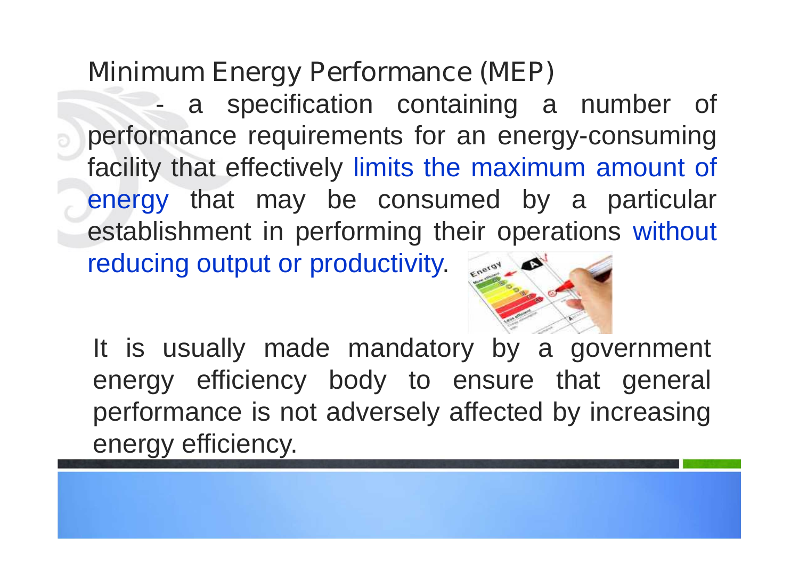## **Minimum Energy Performance (MEP)**

a specification containing a number of performance requirements for an energy-consuming facility that effectively limits the maximum amount of energy that may be consumed by a particular establishment in performing their operations without reducing output or productivity. Energy



It is usually made mandatory by a government energy efficiency body to ensure that general performance is not adversely affected by increasing energy efficiency.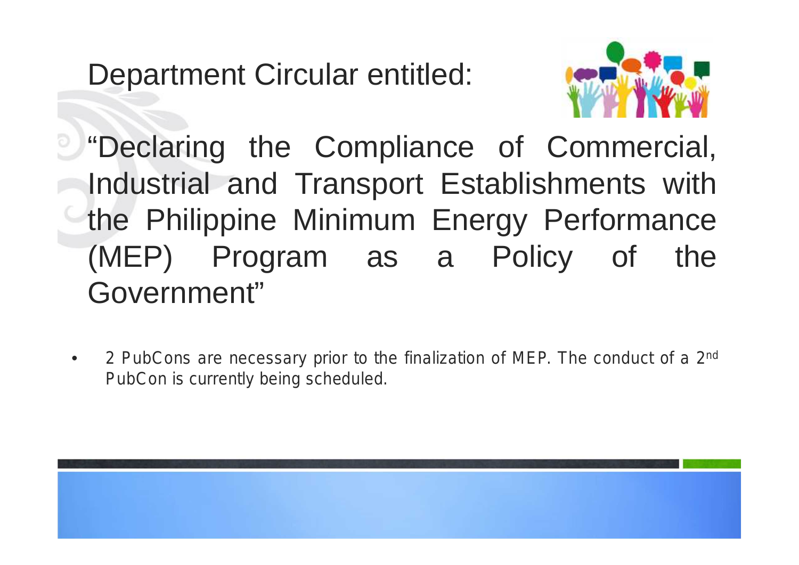Department Circular entitled:



**U** "Declaring the Compliance of Commercial, Industrial and Transport Establishments with the Philippine Minimum Energy Performance (MEP) Program as a Policy of the Government"

• *2 PubCons are necessary prior to the finalization of MEP. The conduct of a 2 nd PubCon is currently being scheduled.*

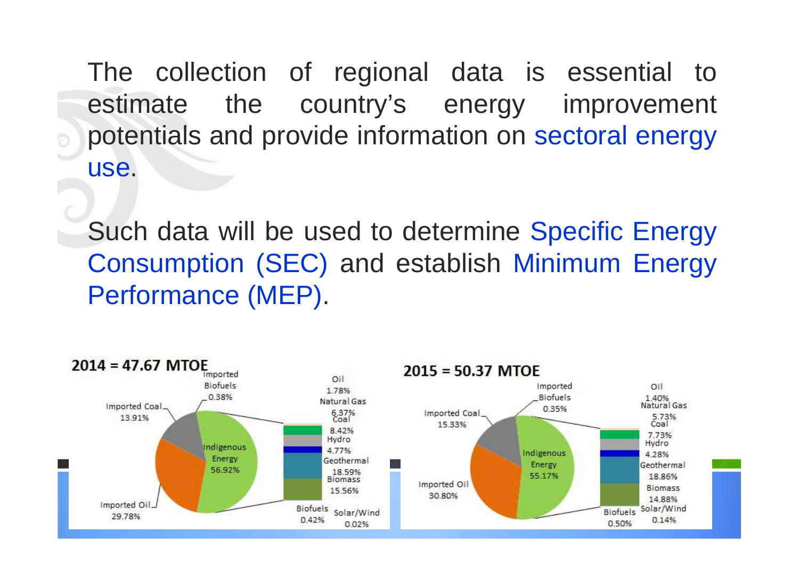The collection of regional data is essential to estimate the country's energy improvement potentials and provide information on sectoral energy use.

b

Such data will be used to determine Specific Energy Consumption (SEC) and establish Minimum Energy Performance (MEP).

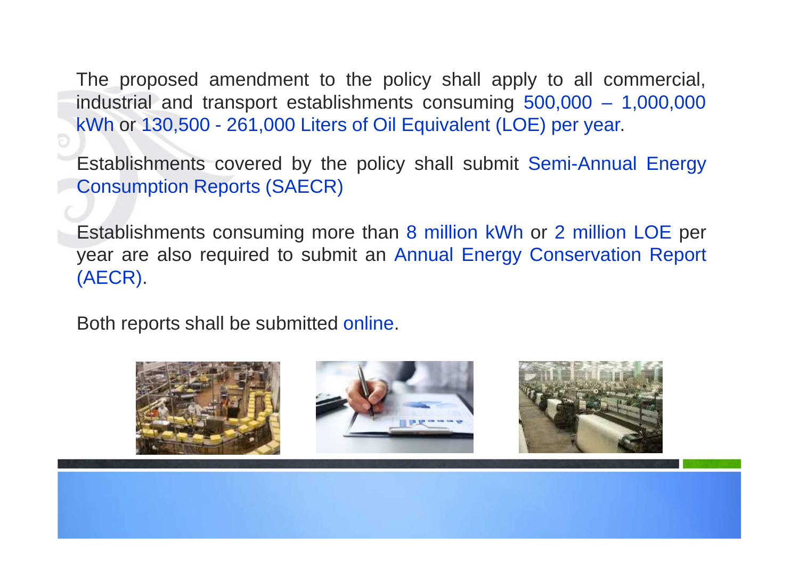The proposed amendment to the policy shall apply to all commercial, industrial and transport establishments consuming 500,000 – 1,000,000 kWh or 130,500 - 261,000 Liters of Oil Equivalent (LOE) per year.

Establishments covered by the policy shall submit Semi-Annual Energy Consumption Reports (SAECR)

Establishments consuming more than 8 million kWh or 2 million LOE per year are also required to submit an Annual Energy Conservation Report (AECR).

Both reports shall be submitted online.

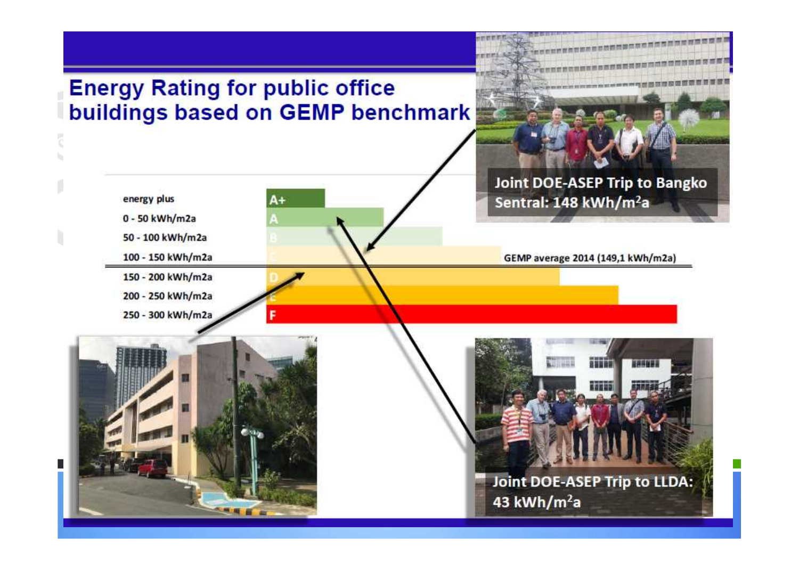